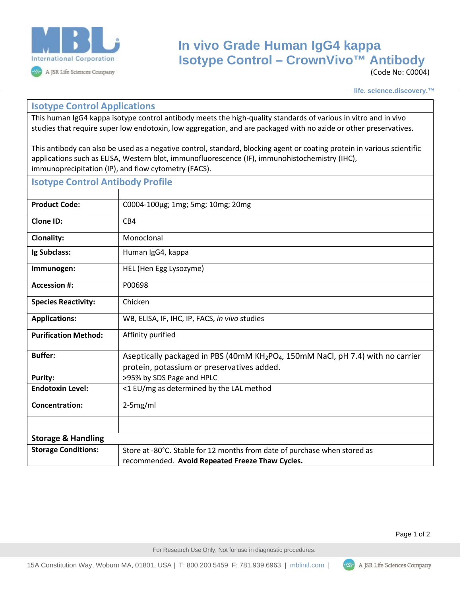

## **In vivo Grade Human IgG4 kappa Isotype Control – CrownVivo™ Antibody**

(Code No: C0004)

**life. science.discovery.™**

## **Isotype Control Applications**

This human IgG4 kappa isotype control antibody meets the high-quality standards of various in vitro and in vivo studies that require super low endotoxin, low aggregation, and are packaged with no azide or other preservatives.

This antibody can also be used as a negative control, standard, blocking agent or coating protein in various scientific applications such as ELISA, Western blot, immunofluorescence (IF), immunohistochemistry (IHC), immunoprecipitation (IP), and flow cytometry (FACS).

| <b>Isotype Control Antibody Profile</b> |                                                                                                                                                       |
|-----------------------------------------|-------------------------------------------------------------------------------------------------------------------------------------------------------|
|                                         |                                                                                                                                                       |
| <b>Product Code:</b>                    | C0004-100μg; 1mg; 5mg; 10mg; 20mg                                                                                                                     |
| <b>Clone ID:</b>                        | CB4                                                                                                                                                   |
| <b>Clonality:</b>                       | Monoclonal                                                                                                                                            |
| Ig Subclass:                            | Human IgG4, kappa                                                                                                                                     |
| Immunogen:                              | HEL (Hen Egg Lysozyme)                                                                                                                                |
| <b>Accession #:</b>                     | P00698                                                                                                                                                |
| <b>Species Reactivity:</b>              | Chicken                                                                                                                                               |
| <b>Applications:</b>                    | WB, ELISA, IF, IHC, IP, FACS, in vivo studies                                                                                                         |
| <b>Purification Method:</b>             | Affinity purified                                                                                                                                     |
| <b>Buffer:</b>                          | Aseptically packaged in PBS (40mM KH <sub>2</sub> PO <sub>4</sub> , 150mM NaCl, pH 7.4) with no carrier<br>protein, potassium or preservatives added. |
| <b>Purity:</b>                          | >95% by SDS Page and HPLC                                                                                                                             |
| <b>Endotoxin Level:</b>                 | <1 EU/mg as determined by the LAL method                                                                                                              |
| <b>Concentration:</b>                   | 2-5mg/ml                                                                                                                                              |
|                                         |                                                                                                                                                       |
| <b>Storage &amp; Handling</b>           |                                                                                                                                                       |
| <b>Storage Conditions:</b>              | Store at -80°C. Stable for 12 months from date of purchase when stored as<br>recommended. Avoid Repeated Freeze Thaw Cycles.                          |